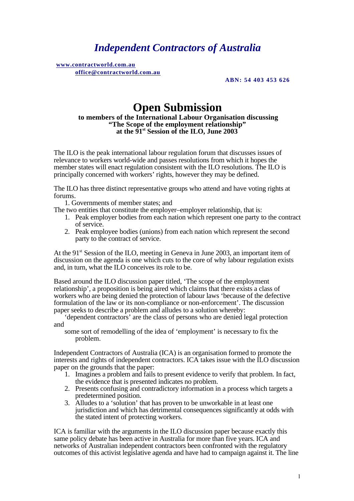# *Independent Contractors of Australia*

 **www.contractworld.com.au office@contractworld.com.au** 

**ABN: 54 403 453 626**

# **Open Submission**

#### **to members of the International Labour Organisation discussing "The Scope of the employment relationship" at the 91st Session of the ILO, June 2003**

The ILO is the peak international labour regulation forum that discusses issues of relevance to workers world-wide and passes resolutions from which it hopes the member states will enact regulation consistent with the ILO resolutions. The ILO is principally concerned with workers' rights, however they may be defined.

The ILO has three distinct representative groups who attend and have voting rights at forums.

1. Governments of member states; and

The two entities that constitute the employer–employer relationship, that is:

- 1. Peak employer bodies from each nation which represent one party to the contract of service.
- 2. Peak employee bodies (unions) from each nation which represent the second party to the contract of service.

At the 91<sup>st</sup> Session of the ILO, meeting in Geneva in June 2003, an important item of discussion on the agenda is one which cuts to the core of why labour regulation exists and, in turn, what the ILO conceives its role to be.

Based around the ILO discussion paper titled, 'The scope of the employment relationship', a proposition is being aired which claims that there exists a class of workers who are being denied the protection of labour laws 'because of the defective formulation of the law or its non-compliance or non-enforcement'. The discussion paper seeks to describe a problem and alludes to a solution whereby:

'dependent contractors' are the class of persons who are denied legal protection and

some sort of remodelling of the idea of 'employment' is necessary to fix the problem.

Independent Contractors of Australia (ICA) is an organisation formed to promote the interests and rights of independent contractors. ICA takes issue with the ILO discussion paper on the grounds that the paper:

- 1. Imagines a problem and fails to present evidence to verify that problem. In fact, the evidence that is presented indicates no problem.
- 2. Presents confusing and contradictory information in a process which targets a predetermined position.
- 3. Alludes to a 'solution' that has proven to be unworkable in at least one jurisdiction and which has detrimental consequences significantly at odds with the stated intent of protecting workers.

ICA is familiar with the arguments in the ILO discussion paper because exactly this same policy debate has been active in Australia for more than five years. ICA and networks of Australian independent contractors been confronted with the regulatory outcomes of this activist legislative agenda and have had to campaign against it. The line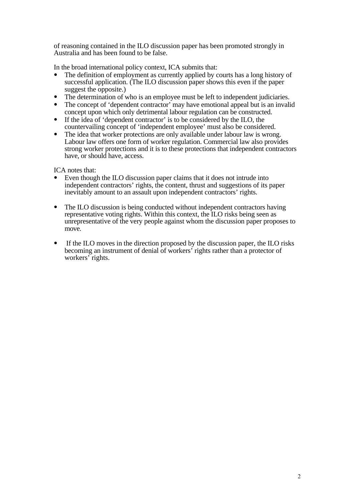of reasoning contained in the ILO discussion paper has been promoted strongly in Australia and has been found to be false.

In the broad international policy context, ICA submits that:

- The definition of employment as currently applied by courts has a long history of successful application. (The ILO discussion paper shows this even if the paper suggest the opposite.)
- The determination of who is an employee must be left to independent judiciaries.
- **•** The concept of 'dependent contractor' may have emotional appeal but is an invalid concept upon which only detrimental labour regulation can be constructed.
- **•** If the idea of 'dependent contractor' is to be considered by the ILO, the countervailing concept of 'independent employee' must also be considered.
- The idea that worker protections are only available under labour law is wrong. Labour law offers one form of worker regulation. Commercial law also provides strong worker protections and it is to these protections that independent contractors have, or should have, access.

ICA notes that:

- **•** Even though the ILO discussion paper claims that it does not intrude into independent contractors' rights, the content, thrust and suggestions of its paper inevitably amount to an assault upon independent contractors' rights.
- The ILO discussion is being conducted without independent contractors having representative voting rights. Within this context, the ILO risks being seen as unrepresentative of the very people against whom the discussion paper proposes to move.
- If the ILO moves in the direction proposed by the discussion paper, the ILO risks becoming an instrument of denial of workers' rights rather than a protector of workers' rights.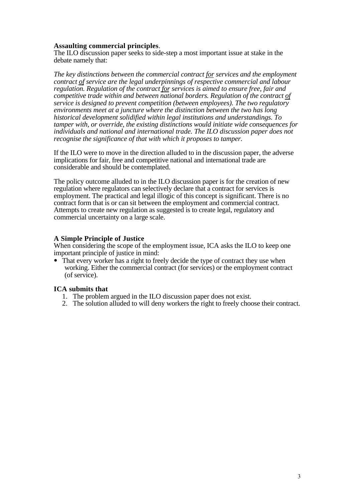## **Assaulting commercial principles**.

The ILO discussion paper seeks to side-step a most important issue at stake in the debate namely that:

*The key distinctions between the commercial contract for services and the employment contract of service are the legal underpinnings of respective commercial and labour regulation. Regulation of the contract for services is aimed to ensure free, fair and competitive trade within and between national borders. Regulation of the contract of service is designed to prevent competition (between employees). The two regulatory environments meet at a juncture where the distinction between the two has long historical development solidified within legal institutions and understandings. To tamper with, or override, the existing distinctions would initiate wide consequences for individuals and national and international trade. The ILO discussion paper does not recognise the significance of that with which it proposes to tamper.*

If the ILO were to move in the direction alluded to in the discussion paper, the adverse implications for fair, free and competitive national and international trade are considerable and should be contemplated.

The policy outcome alluded to in the ILO discussion paper is for the creation of new regulation where regulators can selectively declare that a contract for services is employment. The practical and legal illogic of this concept is significant. There is no contract form that is or can sit between the employment and commercial contract. Attempts to create new regulation as suggested is to create legal, regulatory and commercial uncertainty on a large scale.

### **A Simple Principle of Justice**

When considering the scope of the employment issue, ICA asks the ILO to keep one important principle of justice in mind:

• That every worker has a right to freely decide the type of contract they use when working. Either the commercial contract (for services) or the employment contract (of service).

### **ICA submits that**

- 1. The problem argued in the ILO discussion paper does not exist.
- 2. The solution alluded to will deny workers the right to freely choose their contract.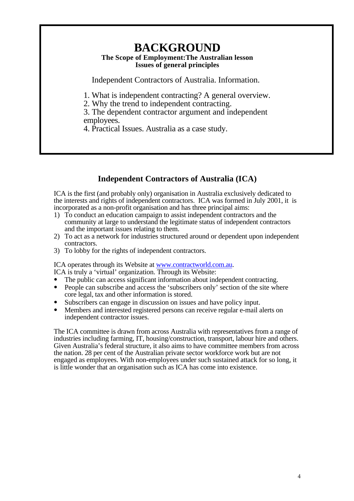# **BACKGROUND**

## **The Scope of Employment:The Australian lesson Issues of general principles**

Independent Contractors of Australia. Information.

1. What is independent contracting? A general overview.

2. Why the trend to independent contracting.

3. The dependent contractor argument and independent employees.

4. Practical Issues. Australia as a case study.

# **Independent Contractors of Australia (ICA)**

ICA is the first (and probably only) organisation in Australia exclusively dedicated to the interests and rights of independent contractors. ICA was formed in July 2001, it is incorporated as a non-profit organisation and has three principal aims:

- 1) To conduct an education campaign to assist independent contractors and the community at large to understand the legitimate status of independent contractors and the important issues relating to them.
- 2) To act as a network for industries structured around or dependent upon independent contractors.
- 3) To lobby for the rights of independent contractors.

ICA operates through its Website at www.contractworld.com.au.

- ICA is truly a 'virtual' organization. Through its Website:
- The public can access significant information about independent contracting.
- People can subscribe and access the 'subscribers only' section of the site where core legal, tax and other information is stored.
- **•** Subscribers can engage in discussion on issues and have policy input.
- Members and interested registered persons can receive regular e-mail alerts on independent contractor issues.

The ICA committee is drawn from across Australia with representatives from a range of industries including farming, IT, housing/construction, transport, labour hire and others. Given Australia's federal structure, it also aims to have committee members from across the nation. 28 per cent of the Australian private sector workforce work but are not engaged as employees. With non-employees under such sustained attack for so long, it is little wonder that an organisation such as ICA has come into existence.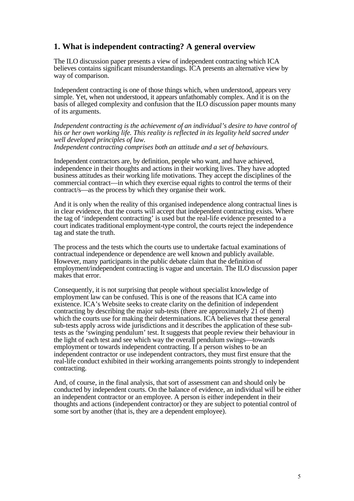## **1. What is independent contracting? A general overview**

The ILO discussion paper presents a view of independent contracting which ICA believes contains significant misunderstandings. ICA presents an alternative view by way of comparison.

Independent contracting is one of those things which, when understood, appears very simple. Yet, when not understood, it appears unfathomably complex. And it is on the basis of alleged complexity and confusion that the ILO discussion paper mounts many of its arguments.

*Independent contracting is the achievement of an individual's desire to have control of his or her own working life. This reality is reflected in its legality held sacred under well developed principles of law.*

*Independent contracting comprises both an attitude and a set of behaviours.*

Independent contractors are, by definition, people who want, and have achieved, independence in their thoughts and actions in their working lives. They have adopted business attitudes as their working life motivations. They accept the disciplines of the commercial contract—in which they exercise equal rights to control the terms of their contract/s—as the process by which they organise their work.

And it is only when the reality of this organised independence along contractual lines is in clear evidence, that the courts will accept that independent contracting exists. Where the tag of 'independent contracting' is used but the real-life evidence presented to a court indicates traditional employment-type control, the courts reject the independence tag and state the truth.

The process and the tests which the courts use to undertake factual examinations of contractual independence or dependence are well known and publicly available. However, many participants in the public debate claim that the definition of employment/independent contracting is vague and uncertain. The ILO discussion paper makes that error.

Consequently, it is not surprising that people without specialist knowledge of employment law can be confused. This is one of the reasons that ICA came into existence. ICA's Website seeks to create clarity on the definition of independent contracting by describing the major sub-tests (there are approximately  $2\hat{1}$  of them) which the courts use for making their determinations. ICA believes that these general sub-tests apply across wide jurisdictions and it describes the application of these subtests as the 'swinging pendulum' test. It suggests that people review their behaviour in the light of each test and see which way the overall pendulum swings—towards employment or towards independent contracting. If a person wishes to be an independent contractor or use independent contractors, they must first ensure that the real-life conduct exhibited in their working arrangements points strongly to independent contracting.

And, of course, in the final analysis, that sort of assessment can and should only be conducted by independent courts. On the balance of evidence, an individual will be either an independent contractor or an employee. A person is either independent in their thoughts and actions (independent contractor) or they are subject to potential control of some sort by another (that is, they are a dependent employee).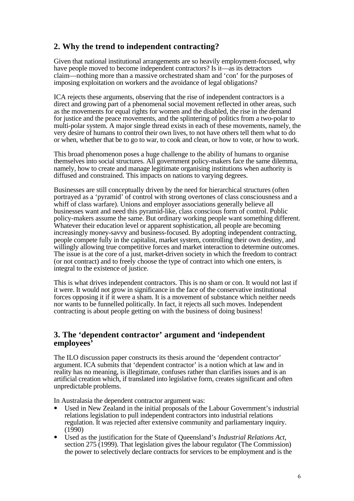# **2. Why the trend to independent contracting?**

Given that national institutional arrangements are so heavily employment-focused, why have people moved to become independent contractors? Is it—as its detractors claim—nothing more than a massive orchestrated sham and 'con' for the purposes of imposing exploitation on workers and the avoidance of legal obligations?

ICA rejects these arguments, observing that the rise of independent contractors is a direct and growing part of a phenomenal social movement reflected in other areas, such as the movements for equal rights for women and the disabled, the rise in the demand for justice and the peace movements, and the splintering of politics from a two-polar to multi-polar system. A major single thread exists in each of these movements, namely, the very desire of humans to control their own lives, to not have others tell them what to do or when, whether that be to go to war, to cook and clean, or how to vote, or how to work.

This broad phenomenon poses a huge challenge to the ability of humans to organise themselves into social structures. All government policy-makers face the same dilemma, namely, how to create and manage legitimate organising institutions when authority is diffused and constrained. This impacts on nations to varying degrees.

Businesses are still conceptually driven by the need for hierarchical structures (often portrayed as a 'pyramid' of control with strong overtones of class consciousness and a whiff of class warfare). Unions and employer associations generally believe all businesses want and need this pyramid-like, class conscious form of control. Public policy-makers assume the same. But ordinary working people want something different. Whatever their education level or apparent sophistication, all people are becoming increasingly money-savvy and business-focused. By adopting independent contracting, people compete fully in the capitalist, market system, controlling their own destiny, and willingly allowing true competitive forces and market interaction to determine outcomes. The issue is at the core of a just, market-driven society in which the freedom to contract (or not contract) and to freely choose the type of contract into which one enters, is integral to the existence of justice.

This is what drives independent contractors. This is no sham or con. It would not last if it were. It would not grow in significance in the face of the conservative institutional forces opposing it if it were a sham. It is a movement of substance which neither needs nor wants to be funnelled politically. In fact, it rejects all such moves. Independent contracting is about people getting on with the business of doing business!

## **3. The 'dependent contractor' argument and 'independent employees'**

The ILO discussion paper constructs its thesis around the 'dependent contractor' argument. ICA submits that 'dependent contractor' is a notion which at law and in reality has no meaning, is illegitimate, confuses rather than clarifies issues and is an artificial creation which, if translated into legislative form, creates significant and often unpredictable problems.

In Australasia the dependent contractor argument was:

- **•** Used in New Zealand in the initial proposals of the Labour Government's industrial relations legislation to pull independent contractors into industrial relations regulation. It was rejected after extensive community and parliamentary inquiry.  $(1990)$
- **•** Used as the justification for the State of Queensland's *Industrial Relations Act*, section 275 (1999). That legislation gives the labour regulator (The Commission) the power to selectively declare contracts for services to be employment and is the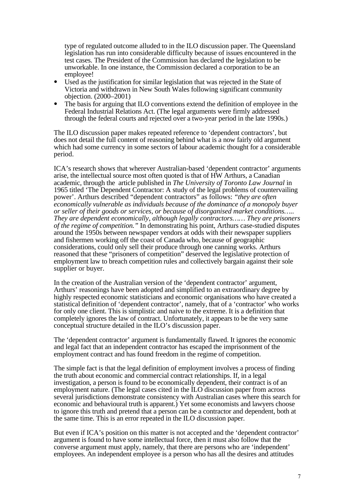type of regulated outcome alluded to in the ILO discussion paper. The Queensland legislation has run into considerable difficulty because of issues encountered in the test cases. The President of the Commission has declared the legislation to be unworkable. In one instance, the Commission declared a corporation to be an employee!

- Used as the justification for similar legislation that was rejected in the State of Victoria and withdrawn in New South Wales following significant community objection. (2000–2001)
- The basis for arguing that ILO conventions extend the definition of employee in the Federal Industrial Relations Act. (The legal arguments were firmly addressed through the federal courts and rejected over a two-year period in the late 1990s.)

The ILO discussion paper makes repeated reference to 'dependent contractors', but does not detail the full content of reasoning behind what is a now fairly old argument which had some currency in some sectors of labour academic thought for a considerable period.

ICA's research shows that wherever Australian-based 'dependent contractor' arguments arise, the intellectual source most often quoted is that of HW Arthurs, a Canadian academic, through the article published in *The University of Toronto Law Journal* in 1965 titled 'The Dependent Contractor: A study of the legal problems of countervailing power'. Arthurs described "dependent contractors" as follows: *"they are often economically vulnerable as individuals because of the dominance of a monopoly buyer or seller of their goods or services, or because of disorganised market conditions….. They are dependent economically, although legally contractors…… They are prisoners of the regime of competition."* In demonstrating his point, Arthurs case-studied disputes around the 1950s between newspaper vendors at odds with their newspaper suppliers and fishermen working off the coast of Canada who, because of geographic considerations, could only sell their produce through one canning works. Arthurs reasoned that these "prisoners of competition" deserved the legislative protection of employment law to breach competition rules and collectively bargain against their sole supplier or buyer.

In the creation of the Australian version of the 'dependent contractor' argument, Arthurs' reasonings have been adopted and simplified to an extraordinary degree by highly respected economic statisticians and economic organisations who have created a statistical definition of 'dependent contractor', namely, that of a 'contractor' who works for only one client. This is simplistic and naive to the extreme. It is a definition that completely ignores the law of contract. Unfortunately, it appears to be the very same conceptual structure detailed in the ILO's discussion paper.

The 'dependent contractor' argument is fundamentally flawed. It ignores the economic and legal fact that an independent contractor has escaped the imprisonment of the employment contract and has found freedom in the regime of competition.

The simple fact is that the legal definition of employment involves a process of finding the truth about economic and commercial contract relationships. If, in a legal investigation, a person is found to be economically dependent, their contract is of an employment nature. (The legal cases cited in the ILO discussion paper from across several jurisdictions demonstrate consistency with Australian cases where this search for economic and behavioural truth is apparent.) Yet some economists and lawyers choose to ignore this truth and pretend that a person can be a contractor and dependent, both at the same time. This is an error repeated in the ILO discussion paper.

But even if ICA's position on this matter is not accepted and the 'dependent contractor' argument is found to have some intellectual force, then it must also follow that the converse argument must apply, namely, that there are persons who are 'independent' employees. An independent employee is a person who has all the desires and attitudes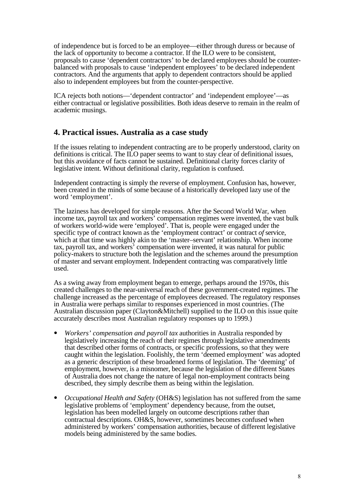of independence but is forced to be an employee—either through duress or because of the lack of opportunity to become a contractor. If the ILO were to be consistent, proposals to cause 'dependent contractors' to be declared employees should be counterbalanced with proposals to cause 'independent employees' to be declared independent contractors. And the arguments that apply to dependent contractors should be applied also to independent employees but from the counter-perspective.

ICA rejects both notions—'dependent contractor' and 'independent employee'—as either contractual or legislative possibilities. Both ideas deserve to remain in the realm of academic musings.

## **4. Practical issues. Australia as a case study**

If the issues relating to independent contracting are to be properly understood, clarity on definitions is critical. The ILO paper seems to want to stay clear of definitional issues, but this avoidance of facts cannot be sustained. Definitional clarity forces clarity of legislative intent. Without definitional clarity, regulation is confused.

Independent contracting is simply the reverse of employment. Confusion has, however, been created in the minds of some because of a historically developed lazy use of the word 'employment'.

The laziness has developed for simple reasons. After the Second World War, when income tax, payroll tax and workers' compensation regimes were invented, the vast bulk of workers world-wide were 'employed'. That is, people were engaged under the specific type of contract known as the 'employment contract' or contract *of* service, which at that time was highly akin to the 'master–servant' relationship. When income tax, payroll tax, and workers' compensation were invented, it was natural for public policy-makers to structure both the legislation and the schemes around the presumption of master and servant employment. Independent contracting was comparatively little used.

As a swing away from employment began to emerge, perhaps around the 1970s, this created challenges to the near-universal reach of these government-created regimes. The challenge increased as the percentage of employees decreased. The regulatory responses in Australia were perhaps similar to responses experienced in most countries. (The Australian discussion paper (Clayton&Mitchell) supplied to the ILO on this issue quite accurately describes most Australian regulatory responses up to 1999.)

- **•** *Workers' compensation and payroll tax* authorities in Australia responded by legislatively increasing the reach of their regimes through legislative amendments that described other forms of contracts, or specific professions, so that they were caught within the legislation. Foolishly, the term 'deemed employment' was adopted as a generic description of these broadened forms of legislation. The 'deeming' of employment, however, is a misnomer, because the legislation of the different States of Australia does not change the nature of legal non-employment contracts being described, they simply describe them as being within the legislation.
- **•** *Occupational Health and Safety* (OH&S) legislation has not suffered from the same legislative problems of 'employment' dependency because, from the outset, legislation has been modelled largely on outcome descriptions rather than contractual descriptions. OH&S, however, sometimes becomes confused when administered by workers' compensation authorities, because of different legislative models being administered by the same bodies.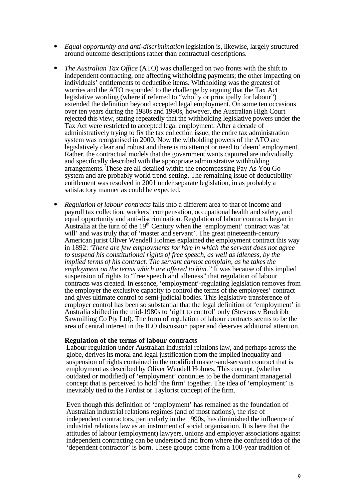- *Equal opportunity and anti-discrimination* legislation is, likewise, largely structured around outcome descriptions rather than contractual descriptions.
- **•** *The Australian Tax Office* (ATO) was challenged on two fronts with the shift to independent contracting, one affecting withholding payments; the other impacting on individuals' entitlements to deductible items. Withholding was the greatest of worries and the ATO responded to the challenge by arguing that the Tax Act legislative wording (where if referred to "wholly or principally for labour") extended the definition beyond accepted legal employment. On some ten occasions over ten years during the 1980s and 1990s, however, the Australian High Court rejected this view, stating repeatedly that the withholding legislative powers under the Tax Act were restricted to accepted legal employment. After a decade of administratively trying to fix the tax collection issue, the entire tax administration system was reorganised in 2000. Now the witholding powers of the ATO are legislatively clear and robust and there is no attempt or need to 'deem' employment. Rather, the contractual models that the government wants captured are individually and specifically described with the appropriate administrative withholding arrangements. These are all detailed within the encompassing Pay As You Go system and are probably world trend-setting. The remaining issue of deductibility entitlement was resolved in 2001 under separate legislation, in as probably a satisfactory manner as could be expected.
- **•** *Regulation of labour contracts* falls into a different area to that of income and payroll tax collection, workers' compensation, occupational health and safety, and equal opportunity and anti-discrimination. Regulation of labour contracts began in Australia at the turn of the  $19<sup>th</sup>$  Century when the 'employment' contract was 'at will' and was truly that of 'master and servant'. The great nineteenth-century American jurist Oliver Wendell Holmes explained the employment contract this way in 1892: *'There are few employments for hire in which the servant does not agree to suspend his constitutional rights of free speech, as well as idleness, by the implied terms of his contract. The servant cannot complain, as he takes the employment on the terms which are offered to him."* It was because of this implied suspension of rights to "free speech and idleness" that regulation of labour contracts was created. In essence, 'employment'-regulating legislation removes from the employer the exclusive capacity to control the terms of the employees' contract and gives ultimate control to semi-judicial bodies. This legislative transference of employer control has been so substantial that the legal definition of 'employment' in Australia shifted in the mid-1980s to 'right to control' only (Stevens v Brodribb Sawmilling Co Pty Ltd). The form of regulation of labour contracts seems to be the area of central interest in the ILO discussion paper and deserves additional attention.

### **Regulation of the terms of labour contracts**

Labour regulation under Australian industrial relations law, and perhaps across the globe, derives its moral and legal justification from the implied inequality and suspension of rights contained in the modified master-and-servant contract that is employment as described by Oliver Wendell Holmes. This concept, (whether outdated or modified) of 'employment' continues to be the dominant managerial concept that is perceived to hold 'the firm' together. The idea of 'employment' is inevitably tied to the Fordist or Taylorist concept of the firm.

Even though this definition of 'employment' has remained as the foundation of Australian industrial relations regimes (and of most nations), the rise of independent contractors, particularly in the 1990s, has diminished the influence of industrial relations law as an instrument of social organisation. It is here that the attitudes of labour (employment) lawyers, unions and employer associations against independent contracting can be understood and from where the confused idea of the 'dependent contractor' is born. These groups come from a 100-year tradition of